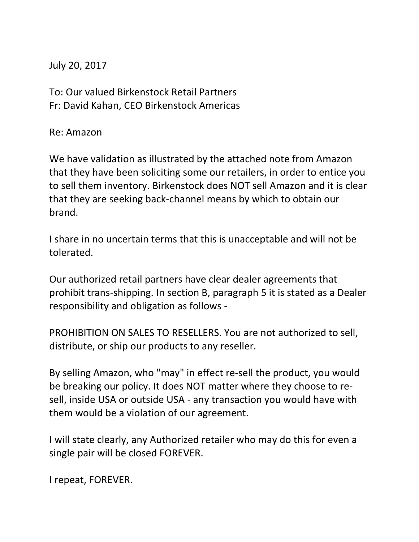July 20, 2017

To: Our valued Birkenstock Retail Partners Fr: David Kahan, CEO Birkenstock Americas

Re: Amazon

We have validation as illustrated by the attached note from Amazon that they have been soliciting some our retailers, in order to entice you to sell them inventory. Birkenstock does NOT sell Amazon and it is clear that they are seeking back-channel means by which to obtain our brand.

I share in no uncertain terms that this is unacceptable and will not be tolerated.

Our authorized retail partners have clear dealer agreements that prohibit trans-shipping. In section B, paragraph 5 it is stated as a Dealer responsibility and obligation as follows -

PROHIBITION ON SALES TO RESELLERS. You are not authorized to sell, distribute, or ship our products to any reseller.

By selling Amazon, who "may" in effect re-sell the product, you would be breaking our policy. It does NOT matter where they choose to resell, inside USA or outside USA - any transaction you would have with them would be a violation of our agreement.

I will state clearly, any Authorized retailer who may do this for even a single pair will be closed FOREVER.

I repeat, FOREVER.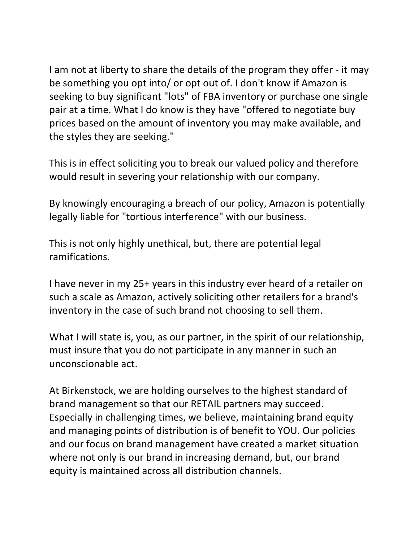I am not at liberty to share the details of the program they offer - it may be something you opt into/ or opt out of. I don't know if Amazon is seeking to buy significant "lots" of FBA inventory or purchase one single pair at a time. What I do know is they have "offered to negotiate buy prices based on the amount of inventory you may make available, and the styles they are seeking."

This is in effect soliciting you to break our valued policy and therefore would result in severing your relationship with our company.

By knowingly encouraging a breach of our policy, Amazon is potentially legally liable for "tortious interference" with our business.

This is not only highly unethical, but, there are potential legal ramifications.

I have never in my 25+ years in this industry ever heard of a retailer on such a scale as Amazon, actively soliciting other retailers for a brand's inventory in the case of such brand not choosing to sell them.

What I will state is, you, as our partner, in the spirit of our relationship, must insure that you do not participate in any manner in such an unconscionable act.

At Birkenstock, we are holding ourselves to the highest standard of brand management so that our RETAIL partners may succeed. Especially in challenging times, we believe, maintaining brand equity and managing points of distribution is of benefit to YOU. Our policies and our focus on brand management have created a market situation where not only is our brand in increasing demand, but, our brand equity is maintained across all distribution channels.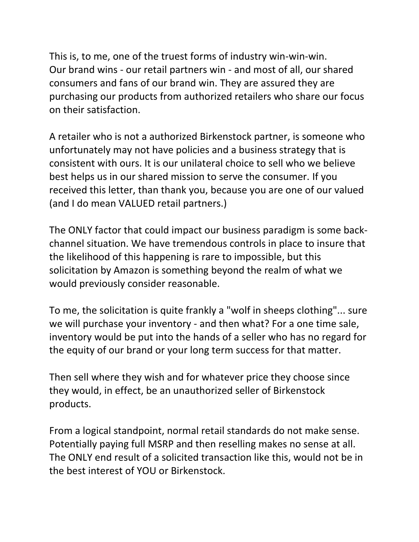This is, to me, one of the truest forms of industry win-win-win. Our brand wins - our retail partners win - and most of all, our shared consumers and fans of our brand win. They are assured they are purchasing our products from authorized retailers who share our focus on their satisfaction.

A retailer who is not a authorized Birkenstock partner, is someone who unfortunately may not have policies and a business strategy that is consistent with ours. It is our unilateral choice to sell who we believe best helps us in our shared mission to serve the consumer. If you received this letter, than thank you, because you are one of our valued (and I do mean VALUED retail partners.)

The ONLY factor that could impact our business paradigm is some backchannel situation. We have tremendous controls in place to insure that the likelihood of this happening is rare to impossible, but this solicitation by Amazon is something beyond the realm of what we would previously consider reasonable.

To me, the solicitation is quite frankly a "wolf in sheeps clothing"... sure we will purchase your inventory - and then what? For a one time sale, inventory would be put into the hands of a seller who has no regard for the equity of our brand or your long term success for that matter.

Then sell where they wish and for whatever price they choose since they would, in effect, be an unauthorized seller of Birkenstock products.

From a logical standpoint, normal retail standards do not make sense. Potentially paying full MSRP and then reselling makes no sense at all. The ONLY end result of a solicited transaction like this, would not be in the best interest of YOU or Birkenstock.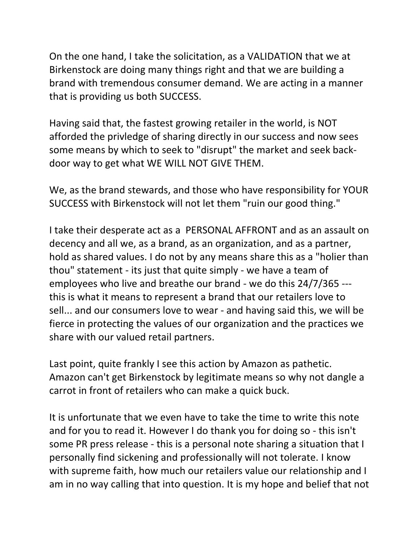On the one hand, I take the solicitation, as a VALIDATION that we at Birkenstock are doing many things right and that we are building a brand with tremendous consumer demand. We are acting in a manner that is providing us both SUCCESS.

Having said that, the fastest growing retailer in the world, is NOT afforded the privledge of sharing directly in our success and now sees some means by which to seek to "disrupt" the market and seek backdoor way to get what WE WILL NOT GIVE THEM.

We, as the brand stewards, and those who have responsibility for YOUR SUCCESS with Birkenstock will not let them "ruin our good thing."

I take their desperate act as a PERSONAL AFFRONT and as an assault on decency and all we, as a brand, as an organization, and as a partner, hold as shared values. I do not by any means share this as a "holier than thou" statement - its just that quite simply - we have a team of employees who live and breathe our brand - we do this 24/7/365 -- this is what it means to represent a brand that our retailers love to sell... and our consumers love to wear - and having said this, we will be fierce in protecting the values of our organization and the practices we share with our valued retail partners.

Last point, quite frankly I see this action by Amazon as pathetic. Amazon can't get Birkenstock by legitimate means so why not dangle a carrot in front of retailers who can make a quick buck.

It is unfortunate that we even have to take the time to write this note and for you to read it. However I do thank you for doing so - this isn't some PR press release - this is a personal note sharing a situation that I personally find sickening and professionally will not tolerate. I know with supreme faith, how much our retailers value our relationship and I am in no way calling that into question. It is my hope and belief that not